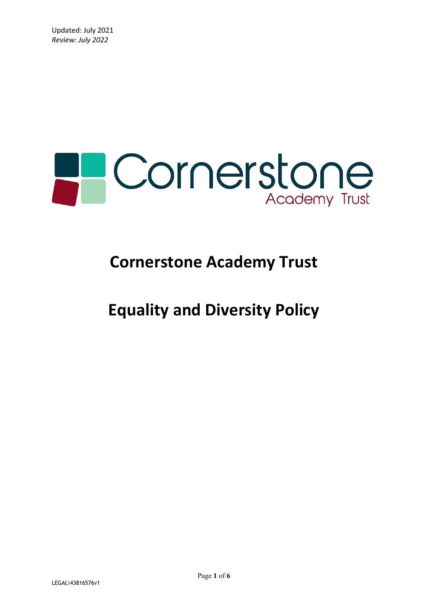

# **Cornerstone Academy Trust**

## **Equality and Diversity Policy**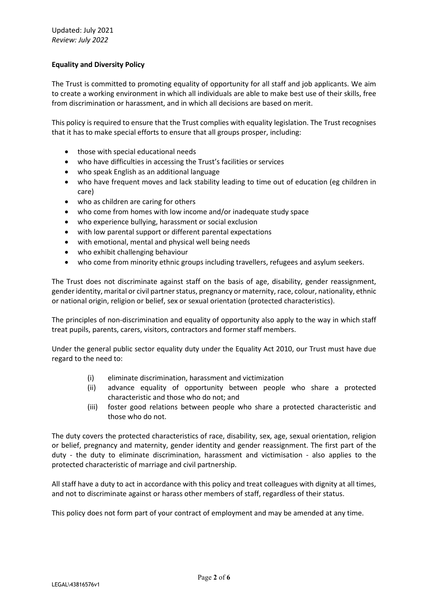## **Equality and Diversity Policy**

The Trust is committed to promoting equality of opportunity for all staff and job applicants. We aim to create a working environment in which all individuals are able to make best use of their skills, free from discrimination or harassment, and in which all decisions are based on merit.

This policy is required to ensure that the Trust complies with equality legislation. The Trust recognises that it has to make special efforts to ensure that all groups prosper, including:

- those with special educational needs
- who have difficulties in accessing the Trust's facilities or services
- who speak English as an additional language
- who have frequent moves and lack stability leading to time out of education (eg children in care)
- who as children are caring for others
- who come from homes with low income and/or inadequate study space
- who experience bullying, harassment or social exclusion
- with low parental support or different parental expectations
- with emotional, mental and physical well being needs
- who exhibit challenging behaviour
- who come from minority ethnic groups including travellers, refugees and asylum seekers.

The Trust does not discriminate against staff on the basis of age, disability, gender reassignment, gender identity, marital or civil partner status, pregnancy or maternity, race, colour, nationality, ethnic or national origin, religion or belief, sex or sexual orientation (protected characteristics).

The principles of non-discrimination and equality of opportunity also apply to the way in which staff treat pupils, parents, carers, visitors, contractors and former staff members.

Under the general public sector equality duty under the Equality Act 2010, our Trust must have due regard to the need to:

- (i) eliminate discrimination, harassment and victimization
- (ii) advance equality of opportunity between people who share a protected characteristic and those who do not; and
- (iii) foster good relations between people who share a protected characteristic and those who do not.

The duty covers the protected characteristics of race, disability, sex, age, sexual orientation, religion or belief, pregnancy and maternity, gender identity and gender reassignment. The first part of the duty - the duty to eliminate discrimination, harassment and victimisation - also applies to the protected characteristic of marriage and civil partnership.

All staff have a duty to act in accordance with this policy and treat colleagues with dignity at all times, and not to discriminate against or harass other members of staff, regardless of their status.

This policy does not form part of your contract of employment and may be amended at any time.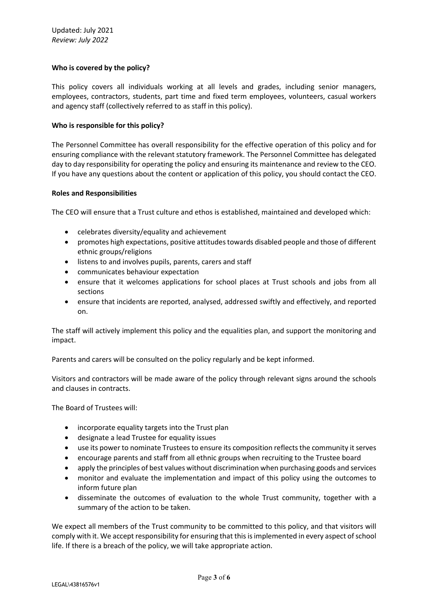### **Who is covered by the policy?**

This policy covers all individuals working at all levels and grades, including senior managers, employees, contractors, students, part time and fixed term employees, volunteers, casual workers and agency staff (collectively referred to as staff in this policy).

#### **Who is responsible for this policy?**

The Personnel Committee has overall responsibility for the effective operation of this policy and for ensuring compliance with the relevant statutory framework. The Personnel Committee has delegated day to day responsibility for operating the policy and ensuring its maintenance and review to the CEO. If you have any questions about the content or application of this policy, you should contact the CEO.

#### **Roles and Responsibilities**

The CEO will ensure that a Trust culture and ethos is established, maintained and developed which:

- celebrates diversity/equality and achievement
- promotes high expectations, positive attitudes towards disabled people and those of different ethnic groups/religions
- listens to and involves pupils, parents, carers and staff
- communicates behaviour expectation
- ensure that it welcomes applications for school places at Trust schools and jobs from all sections
- ensure that incidents are reported, analysed, addressed swiftly and effectively, and reported on.

The staff will actively implement this policy and the equalities plan, and support the monitoring and impact.

Parents and carers will be consulted on the policy regularly and be kept informed.

Visitors and contractors will be made aware of the policy through relevant signs around the schools and clauses in contracts.

The Board of Trustees will:

- incorporate equality targets into the Trust plan
- designate a lead Trustee for equality issues
- use its power to nominate Trustees to ensure its composition reflects the community it serves
- encourage parents and staff from all ethnic groups when recruiting to the Trustee board
- apply the principles of best values without discrimination when purchasing goods and services
- monitor and evaluate the implementation and impact of this policy using the outcomes to inform future plan
- disseminate the outcomes of evaluation to the whole Trust community, together with a summary of the action to be taken.

We expect all members of the Trust community to be committed to this policy, and that visitors will comply with it. We accept responsibility for ensuring that this is implemented in every aspect of school life. If there is a breach of the policy, we will take appropriate action.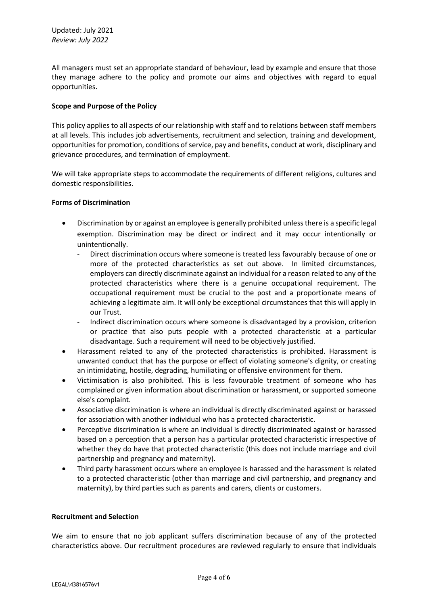All managers must set an appropriate standard of behaviour, lead by example and ensure that those they manage adhere to the policy and promote our aims and objectives with regard to equal opportunities.

### **Scope and Purpose of the Policy**

This policy applies to all aspects of our relationship with staff and to relations between staff members at all levels. This includes job advertisements, recruitment and selection, training and development, opportunities for promotion, conditions of service, pay and benefits, conduct at work, disciplinary and grievance procedures, and termination of employment.

We will take appropriate steps to accommodate the requirements of different religions, cultures and domestic responsibilities.

### **Forms of Discrimination**

- Discrimination by or against an employee is generally prohibited unless there is a specific legal exemption. Discrimination may be direct or indirect and it may occur intentionally or unintentionally.
	- Direct discrimination occurs where someone is treated less favourably because of one or more of the protected characteristics as set out above. In limited circumstances, employers can directly discriminate against an individual for a reason related to any of the protected characteristics where there is a genuine occupational requirement. The occupational requirement must be crucial to the post and a proportionate means of achieving a legitimate aim. It will only be exceptional circumstances that this will apply in our Trust.
	- Indirect discrimination occurs where someone is disadvantaged by a provision, criterion or practice that also puts people with a protected characteristic at a particular disadvantage. Such a requirement will need to be objectively justified.
- Harassment related to any of the protected characteristics is prohibited. Harassment is unwanted conduct that has the purpose or effect of violating someone's dignity, or creating an intimidating, hostile, degrading, humiliating or offensive environment for them.
- Victimisation is also prohibited. This is less favourable treatment of someone who has complained or given information about discrimination or harassment, or supported someone else's complaint.
- Associative discrimination is where an individual is directly discriminated against or harassed for association with another individual who has a protected characteristic.
- Perceptive discrimination is where an individual is directly discriminated against or harassed based on a perception that a person has a particular protected characteristic irrespective of whether they do have that protected characteristic (this does not include marriage and civil partnership and pregnancy and maternity).
- Third party harassment occurs where an employee is harassed and the harassment is related to a protected characteristic (other than marriage and civil partnership, and pregnancy and maternity), by third parties such as parents and carers, clients or customers.

#### **Recruitment and Selection**

We aim to ensure that no job applicant suffers discrimination because of any of the protected characteristics above. Our recruitment procedures are reviewed regularly to ensure that individuals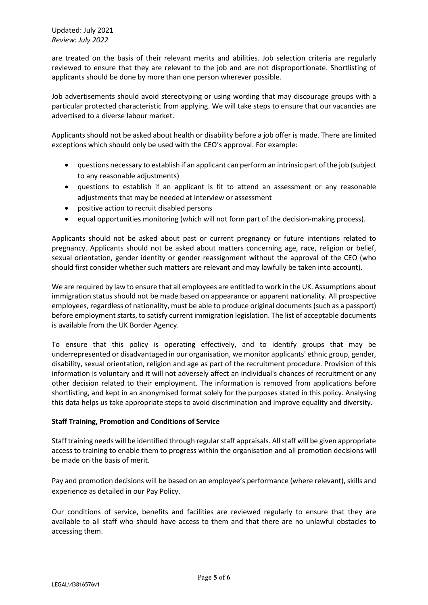Updated: July 2021 *Review: July 2022*

are treated on the basis of their relevant merits and abilities. Job selection criteria are regularly reviewed to ensure that they are relevant to the job and are not disproportionate. Shortlisting of applicants should be done by more than one person wherever possible.

Job advertisements should avoid stereotyping or using wording that may discourage groups with a particular protected characteristic from applying. We will take steps to ensure that our vacancies are advertised to a diverse labour market.

Applicants should not be asked about health or disability before a job offer is made. There are limited exceptions which should only be used with the CEO's approval. For example:

- questions necessary to establish if an applicant can perform an intrinsic part of the job (subject to any reasonable adjustments)
- questions to establish if an applicant is fit to attend an assessment or any reasonable adjustments that may be needed at interview or assessment
- positive action to recruit disabled persons
- equal opportunities monitoring (which will not form part of the decision-making process).

Applicants should not be asked about past or current pregnancy or future intentions related to pregnancy. Applicants should not be asked about matters concerning age, race, religion or belief, sexual orientation, gender identity or gender reassignment without the approval of the CEO (who should first consider whether such matters are relevant and may lawfully be taken into account).

We are required by law to ensure that all employees are entitled to work in the UK. Assumptions about immigration status should not be made based on appearance or apparent nationality. All prospective employees, regardless of nationality, must be able to produce original documents (such as a passport) before employment starts, to satisfy current immigration legislation. The list of acceptable documents is available from the UK Border Agency.

To ensure that this policy is operating effectively, and to identify groups that may be underrepresented or disadvantaged in our organisation, we monitor applicants' ethnic group, gender, disability, sexual orientation, religion and age as part of the recruitment procedure. Provision of this information is voluntary and it will not adversely affect an individual's chances of recruitment or any other decision related to their employment. The information is removed from applications before shortlisting, and kept in an anonymised format solely for the purposes stated in this policy. Analysing this data helps us take appropriate steps to avoid discrimination and improve equality and diversity.

### **Staff Training, Promotion and Conditions of Service**

Staff training needs will be identified through regular staff appraisals. All staff will be given appropriate access to training to enable them to progress within the organisation and all promotion decisions will be made on the basis of merit.

Pay and promotion decisions will be based on an employee's performance (where relevant), skills and experience as detailed in our Pay Policy.

Our conditions of service, benefits and facilities are reviewed regularly to ensure that they are available to all staff who should have access to them and that there are no unlawful obstacles to accessing them.